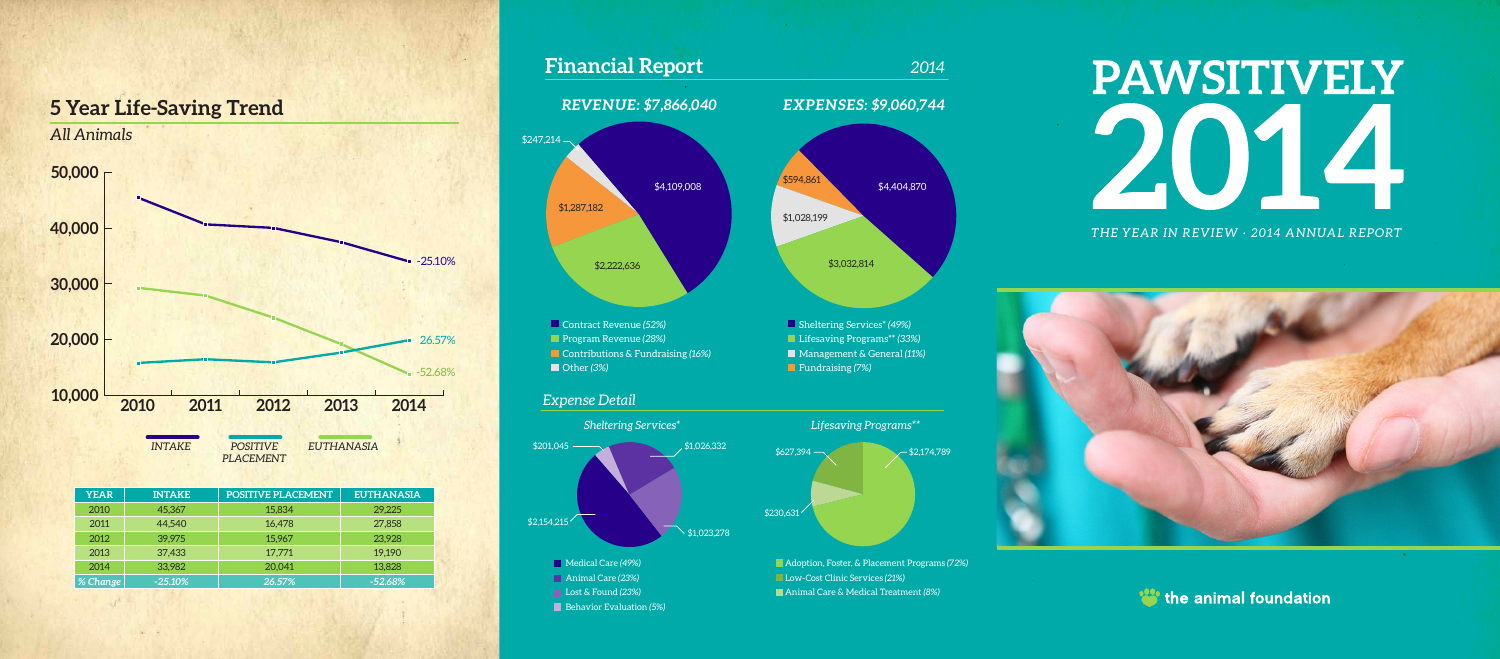**YEAR INTAKE POSITIVE PLACEMENT EUTHANASIA** 2010 45,367 15,834 29,225 2011 44,540 16,478 27,858 2012 39,975 15,967 23,928 2013 37,433 17,771 19,190 2014 33,982 20,041 13,828 *% Change -25.10% 26.57% -52.68%*

### *THE YEAR IN REVIEW · 2014 ANNUAL REPORT*





### **5 Year Life-Saving Trend**

*PLACEMENT*

### **Financial Report** *2014*

### *REVENUE: \$7,866,040*

### *EXPENSES: \$9,060,744*



Adoption, Foster, & Placement Programs *(72%)* Low-Cost Clinic Services *(21%)*

Animal Care & Medical Treatment *(8%)*

### PAWSITIVELY Z  $\bigcup$